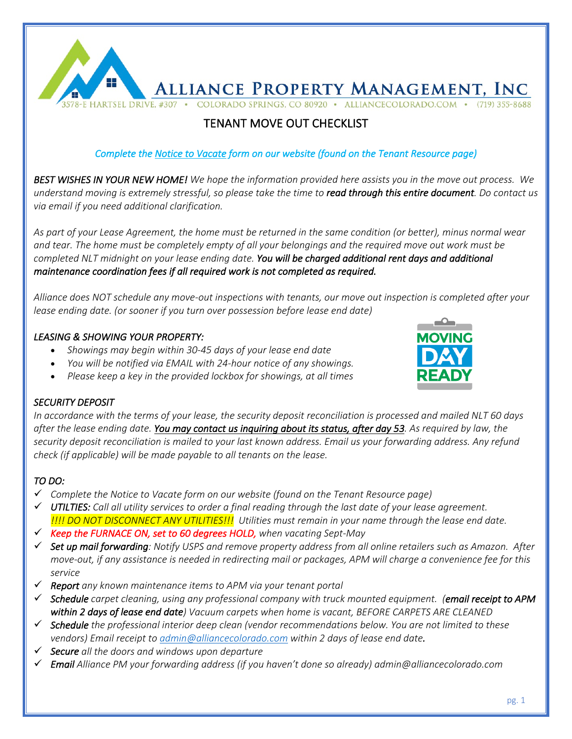

# TENANT MOVE OUT CHECKLIST

# *Complete the Notice to Vacate form on our website (found on the Tenant Resource page)*

*BEST WISHES IN YOUR NEW HOME! We hope the information provided here assists you in the move out process. We understand moving is extremely stressful, so please take the time to read through this entire document. Do contact us via email if you need additional clarification.* 

*As part of your Lease Agreement, the home must be returned in the same condition (or better), minus normal wear and tear. The home must be completely empty of all your belongings and the required move out work must be completed NLT midnight on your lease ending date. You will be charged additional rent days and additional maintenance coordination fees if all required work is not completed as required.* 

*Alliance does NOT schedule any move-out inspections with tenants, our move out inspection is completed after your lease ending date. (or sooner if you turn over possession before lease end date)* 

# *LEASING & SHOWING YOUR PROPERTY:*

- *Showings may begin within 30-45 days of your lease end date*
- *You will be notified via EMAIL with 24-hour notice of any showings.*
- *Please keep a key in the provided lockbox for showings, at all times*



# *SECURITY DEPOSIT*

*In accordance with the terms of your lease, the security deposit reconciliation is processed and mailed NLT 60 days after the lease ending date. You may contact us inquiring about its status, after day 53. As required by law, the security deposit reconciliation is mailed to your last known address. Email us your forwarding address. Any refund check (if applicable) will be made payable to all tenants on the lease.*

# *TO DO:*

- ü *Complete the Notice to Vacate form on our website (found on the Tenant Resource page)*
- $\checkmark$  UTILTIES: Call all utility services to order a final reading through the last date of your lease agreement.  *!!!! DO NOT DISCONNECT ANY UTILITIES!!! Utilities must remain in your name through the lease end date.*
- Keep the FURNACE ON, set to 60 degrees HOLD, when vacating Sept-May
- ü *Set up mail forwarding: Notify USPS and remove property address from all online retailers such as Amazon. After move-out, if any assistance is needed in redirecting mail or packages, APM will charge a convenience fee for this service*
- ü *Report any known maintenance items to APM via your tenant portal*
- ü *Schedule carpet cleaning, using any professional company with truck mounted equipment. (email receipt to APM within 2 days of lease end date) Vacuum carpets when home is vacant, BEFORE CARPETS ARE CLEANED*
- ü *Schedule the professional interior deep clean (vendor recommendations below. You are not limited to these vendors) Email receipt to admin@alliancecolorado.com within 2 days of lease end date.*
- ü *Secure all the doors and windows upon departure*
- ü *Email Alliance PM your forwarding address (if you haven't done so already) admin@alliancecolorado.com*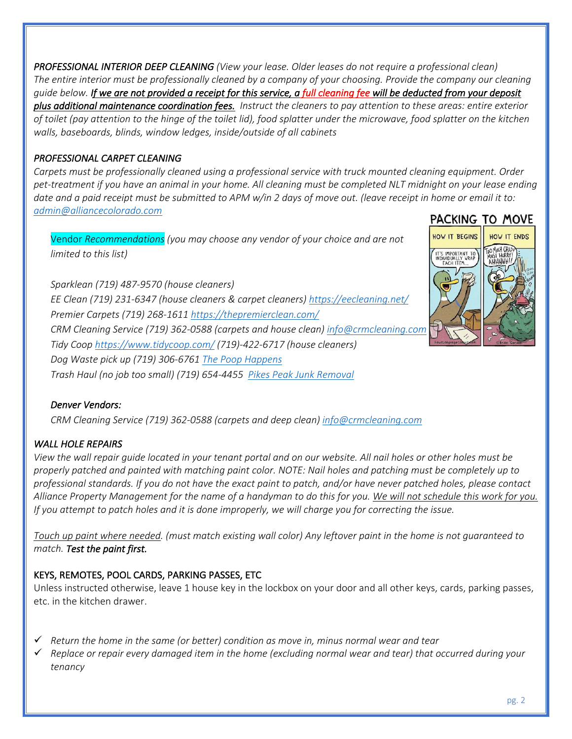*PROFESSIONAL INTERIOR DEEP CLEANING (View your lease. Older leases do not require a professional clean) The entire interior must be professionally cleaned by a company of your choosing. Provide the company our cleaning guide below. If we are not provided a receipt for this service, a full cleaning fee will be deducted from your deposit plus additional maintenance coordination fees. Instruct the cleaners to pay attention to these areas: entire exterior of toilet (pay attention to the hinge of the toilet lid), food splatter under the microwave, food splatter on the kitchen walls, baseboards, blinds, window ledges, inside/outside of all cabinets*

# *PROFESSIONAL CARPET CLEANING*

*Carpets must be professionally cleaned using a professional service with truck mounted cleaning equipment. Order pet-treatment if you have an animal in your home. All cleaning must be completed NLT midnight on your lease ending date and a paid receipt must be submitted to APM w/in 2 days of move out. (leave receipt in home or email it to: admin@alliancecolorado.com* **PACKING TO MOVE** 

Vendor *Recommendations (you may choose any vendor of your choice and are not limited to this list)* 

*Sparklean (719) 487-9570 (house cleaners) EE Clean (719) 231-6347 (house cleaners & carpet cleaners) https://eecleaning.net/ Premier Carpets (719) 268-1611 https://thepremierclean.com/ CRM Cleaning Service (719) 362-0588 (carpets and house clean) info@crmcleaning.com Tidy Coop https://www.tidycoop.com/ (719)-422-6717 (house cleaners) Dog Waste pick up (719) 306-6761 The Poop Happens Trash Haul (no job too small) (719) 654-4455 Pikes Peak Junk Removal*

# *Denver Vendors:*

*CRM Cleaning Service (719) 362-0588 (carpets and deep clean) info@crmcleaning.com*

# *WALL HOLE REPAIRS*

*View the wall repair guide located in your tenant portal and on our website. All nail holes or other holes must be properly patched and painted with matching paint color. NOTE: Nail holes and patching must be completely up to professional standards. If you do not have the exact paint to patch, and/or have never patched holes, please contact Alliance Property Management for the name of a handyman to do this for you. We will not schedule this work for you. If you attempt to patch holes and it is done improperly, we will charge you for correcting the issue.* 

*Touch up paint where needed. (must match existing wall color) Any leftover paint in the home is not guaranteed to match. Test the paint first.*

# KEYS, REMOTES, POOL CARDS, PARKING PASSES, ETC

Unless instructed otherwise, leave 1 house key in the lockbox on your door and all other keys, cards, parking passes, etc. in the kitchen drawer.

- $\checkmark$  Return the home in the same (or better) condition as move in, minus normal wear and tear
- ü *Replace or repair every damaged item in the home (excluding normal wear and tear) that occurred during your tenancy*

HOW IT ENDS

HOW IT BEGINS

IT'S IMPORTANT TO<br>INDIVIDUALLY WRAP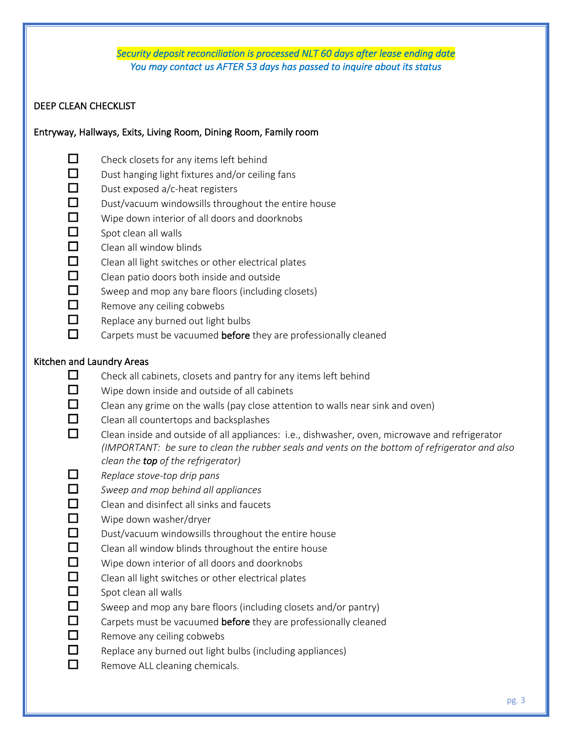#### *Security deposit reconciliation is processed NLT 60 days after lease ending date You may contact us AFTER 53 days has passed to inquire about its status*

# DEEP CLEAN CHECKLIST

#### Entryway, Hallways, Exits, Living Room, Dining Room, Family room

- $\Box$  Check closets for any items left behind
- $\Box$  Dust hanging light fixtures and/or ceiling fans
- $\Box$  Dust exposed a/c-heat registers
- $\Box$  Dust/vacuum windowsills throughout the entire house
- $\Box$  Wipe down interior of all doors and doorknobs
- $\Box$  Spot clean all walls
- $\Box$  Clean all window blinds
- $\Box$  Clean all light switches or other electrical plates
- $\Box$  Clean patio doors both inside and outside
- $\Box$  Sweep and mop any bare floors (including closets)
- $\Box$  Remove any ceiling cobwebs
- $\Box$  Replace any burned out light bulbs
- $\Box$  Carpets must be vacuumed before they are professionally cleaned

# Kitchen and Laundry Areas

- $\Box$  Check all cabinets, closets and pantry for any items left behind
- $\Box$  Wipe down inside and outside of all cabinets
- $\Box$  Clean any grime on the walls (pay close attention to walls near sink and oven)
- $\Box$  Clean all countertops and backsplashes
- $\Box$  Clean inside and outside of all appliances: i.e., dishwasher, oven, microwave and refrigerator *(IMPORTANT: be sure to clean the rubber seals and vents on the bottom of refrigerator and also clean the top of the refrigerator)*
- ¨ *Replace stove-top drip pans*
- ¨ *Sweep and mop behind all appliances*
- $\Box$  Clean and disinfect all sinks and faucets
- $\Box$  Wipe down washer/dryer
- $\Box$  Dust/vacuum windowsills throughout the entire house
- $\Box$  Clean all window blinds throughout the entire house
- $\Box$  Wipe down interior of all doors and doorknobs
- $\Box$  Clean all light switches or other electrical plates
- $\Box$  Spot clean all walls
- $\Box$  Sweep and mop any bare floors (including closets and/or pantry)
- $\Box$  Carpets must be vacuumed before they are professionally cleaned
- $\Box$  Remove any ceiling cobwebs
- $\Box$  Replace any burned out light bulbs (including appliances)
- $\Box$  Remove ALL cleaning chemicals.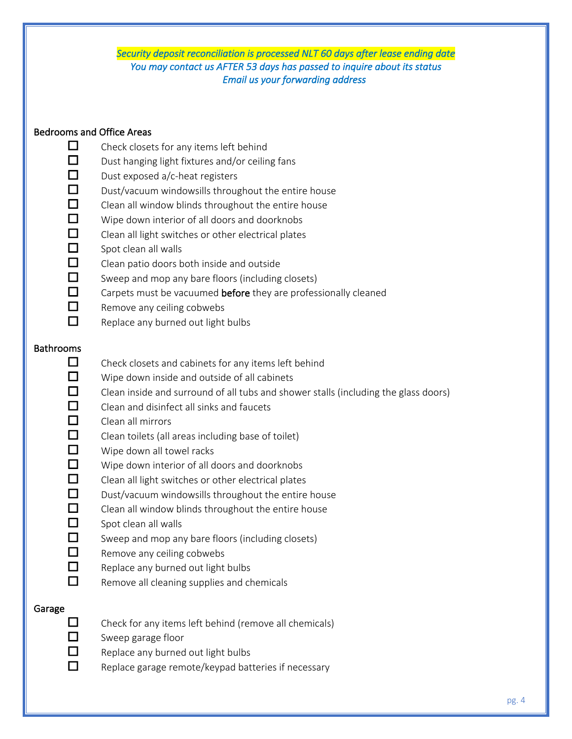#### *Security deposit reconciliation is processed NLT 60 days after lease ending date You may contact us AFTER 53 days has passed to inquire about its status Email us your forwarding address*

#### Bedrooms and Office Areas

- $\Box$  Check closets for any items left behind
- $\Box$  Dust hanging light fixtures and/or ceiling fans
- $\Box$  Dust exposed a/c-heat registers
- $\Box$  Dust/vacuum windowsills throughout the entire house
- $\Box$  Clean all window blinds throughout the entire house
- $\Box$  Wipe down interior of all doors and doorknobs
- $\Box$  Clean all light switches or other electrical plates
- $\Box$  Spot clean all walls
- $\Box$  Clean patio doors both inside and outside
- $\Box$  Sweep and mop any bare floors (including closets)
- $\Box$  Carpets must be vacuumed before they are professionally cleaned
- $\Box$  Remove any ceiling cobwebs
- $\Box$  Replace any burned out light bulbs

#### Bathrooms

- $\Box$  Check closets and cabinets for any items left behind
- $\Box$  Wipe down inside and outside of all cabinets
- $\Box$  Clean inside and surround of all tubs and shower stalls (including the glass doors)
- $\Box$  Clean and disinfect all sinks and faucets
- $\Box$  Clean all mirrors
- $\Box$  Clean toilets (all areas including base of toilet)
- $\Box$  Wipe down all towel racks
- $\Box$  Wipe down interior of all doors and doorknobs
- $\Box$  Clean all light switches or other electrical plates
- $\Box$  Dust/vacuum windowsills throughout the entire house
- $\Box$  Clean all window blinds throughout the entire house
- $\Box$  Spot clean all walls
- $\Box$  Sweep and mop any bare floors (including closets)
- $\Box$  Remove any ceiling cobwebs
- $\Box$  Replace any burned out light bulbs
- $\Box$  Remove all cleaning supplies and chemicals

#### Garage

- $\Box$  Check for any items left behind (remove all chemicals)
- $\Box$  Sweep garage floor
- $\Box$  Replace any burned out light bulbs
- $\Box$  Replace garage remote/keypad batteries if necessary